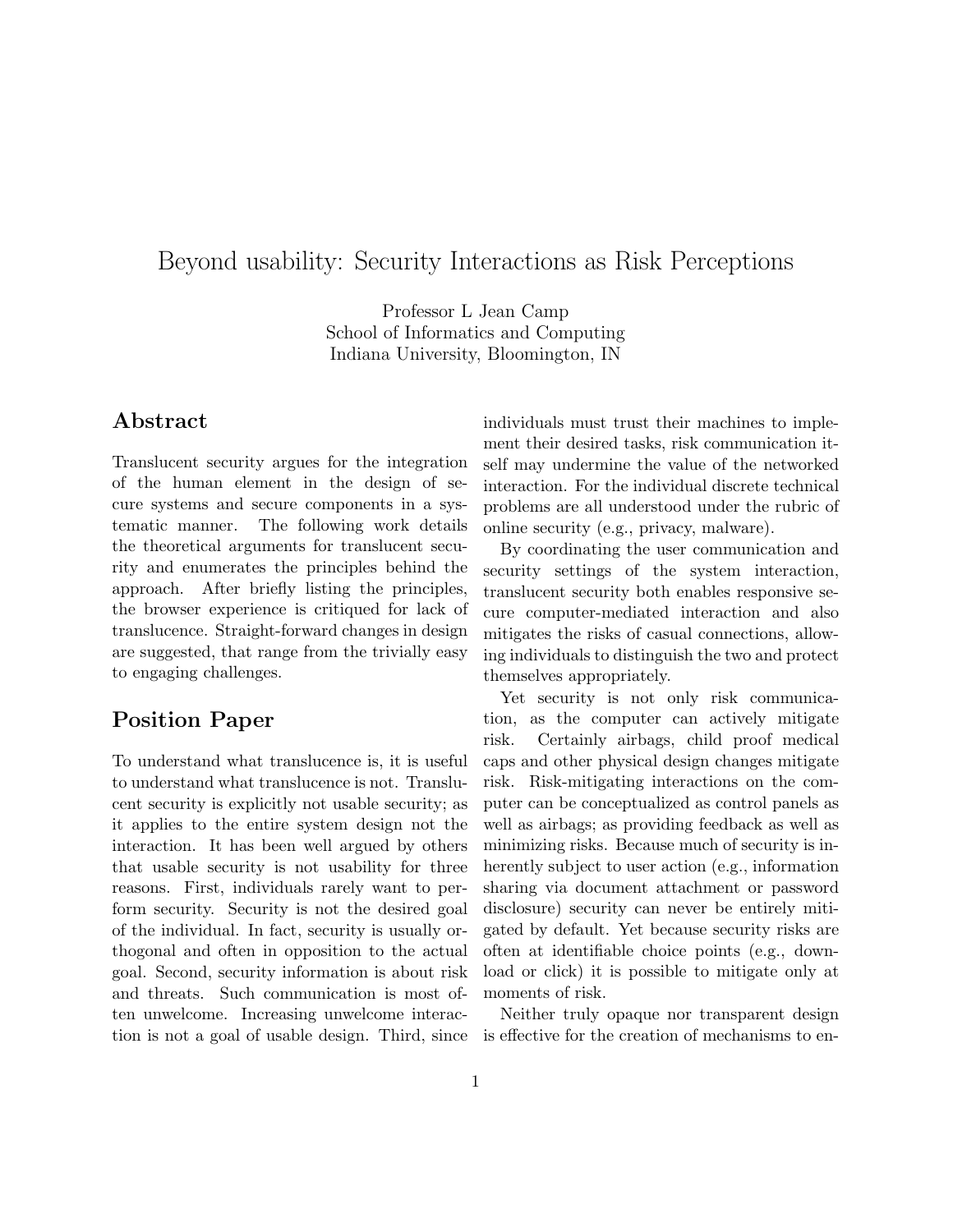# Beyond usability: Security Interactions as Risk Perceptions

Professor L Jean Camp School of Informatics and Computing Indiana University, Bloomington, IN

## Abstract

Translucent security argues for the integration of the human element in the design of secure systems and secure components in a systematic manner. The following work details the theoretical arguments for translucent security and enumerates the principles behind the approach. After briefly listing the principles, the browser experience is critiqued for lack of translucence. Straight-forward changes in design are suggested, that range from the trivially easy to engaging challenges.

#### Position Paper

To understand what translucence is, it is useful to understand what translucence is not. Translucent security is explicitly not usable security; as it applies to the entire system design not the interaction. It has been well argued by others that usable security is not usability for three reasons. First, individuals rarely want to perform security. Security is not the desired goal of the individual. In fact, security is usually orthogonal and often in opposition to the actual goal. Second, security information is about risk and threats. Such communication is most often unwelcome. Increasing unwelcome interaction is not a goal of usable design. Third, since individuals must trust their machines to implement their desired tasks, risk communication itself may undermine the value of the networked interaction. For the individual discrete technical problems are all understood under the rubric of online security (e.g., privacy, malware).

By coordinating the user communication and security settings of the system interaction, translucent security both enables responsive secure computer-mediated interaction and also mitigates the risks of casual connections, allowing individuals to distinguish the two and protect themselves appropriately.

Yet security is not only risk communication, as the computer can actively mitigate risk. Certainly airbags, child proof medical caps and other physical design changes mitigate risk. Risk-mitigating interactions on the computer can be conceptualized as control panels as well as airbags; as providing feedback as well as minimizing risks. Because much of security is inherently subject to user action (e.g., information sharing via document attachment or password disclosure) security can never be entirely mitigated by default. Yet because security risks are often at identifiable choice points (e.g., download or click) it is possible to mitigate only at moments of risk.

Neither truly opaque nor transparent design is effective for the creation of mechanisms to en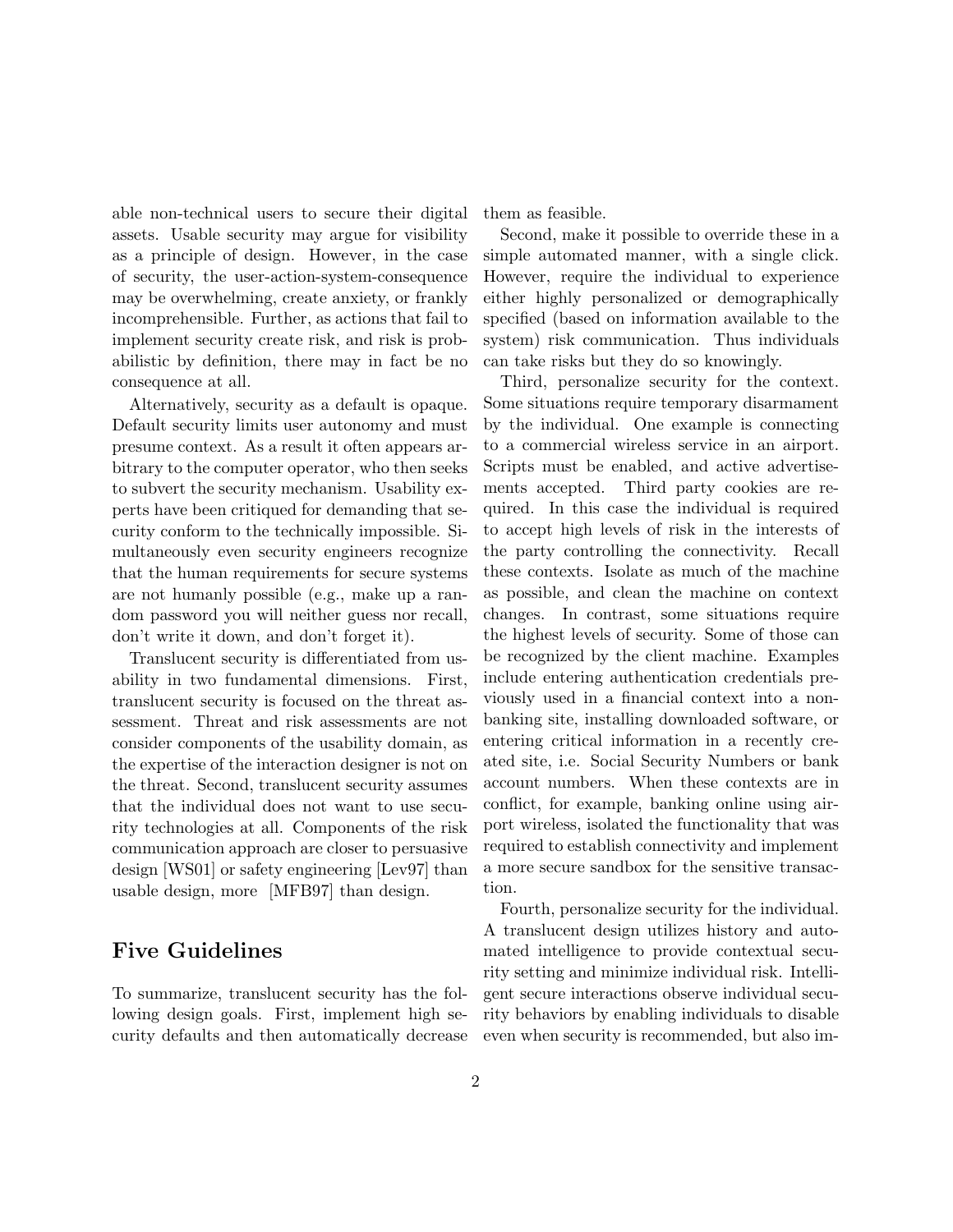able non-technical users to secure their digital assets. Usable security may argue for visibility as a principle of design. However, in the case of security, the user-action-system-consequence may be overwhelming, create anxiety, or frankly incomprehensible. Further, as actions that fail to implement security create risk, and risk is probabilistic by definition, there may in fact be no consequence at all.

Alternatively, security as a default is opaque. Default security limits user autonomy and must presume context. As a result it often appears arbitrary to the computer operator, who then seeks to subvert the security mechanism. Usability experts have been critiqued for demanding that security conform to the technically impossible. Simultaneously even security engineers recognize that the human requirements for secure systems are not humanly possible (e.g., make up a random password you will neither guess nor recall, don't write it down, and don't forget it).

Translucent security is differentiated from usability in two fundamental dimensions. First, translucent security is focused on the threat assessment. Threat and risk assessments are not consider components of the usability domain, as the expertise of the interaction designer is not on the threat. Second, translucent security assumes that the individual does not want to use security technologies at all. Components of the risk communication approach are closer to persuasive design [WS01] or safety engineering [Lev97] than usable design, more [MFB97] than design.

#### Five Guidelines

To summarize, translucent security has the following design goals. First, implement high security defaults and then automatically decrease them as feasible.

Second, make it possible to override these in a simple automated manner, with a single click. However, require the individual to experience either highly personalized or demographically specified (based on information available to the system) risk communication. Thus individuals can take risks but they do so knowingly.

Third, personalize security for the context. Some situations require temporary disarmament by the individual. One example is connecting to a commercial wireless service in an airport. Scripts must be enabled, and active advertisements accepted. Third party cookies are required. In this case the individual is required to accept high levels of risk in the interests of the party controlling the connectivity. Recall these contexts. Isolate as much of the machine as possible, and clean the machine on context changes. In contrast, some situations require the highest levels of security. Some of those can be recognized by the client machine. Examples include entering authentication credentials previously used in a financial context into a nonbanking site, installing downloaded software, or entering critical information in a recently created site, i.e. Social Security Numbers or bank account numbers. When these contexts are in conflict, for example, banking online using airport wireless, isolated the functionality that was required to establish connectivity and implement a more secure sandbox for the sensitive transaction.

Fourth, personalize security for the individual. A translucent design utilizes history and automated intelligence to provide contextual security setting and minimize individual risk. Intelligent secure interactions observe individual security behaviors by enabling individuals to disable even when security is recommended, but also im